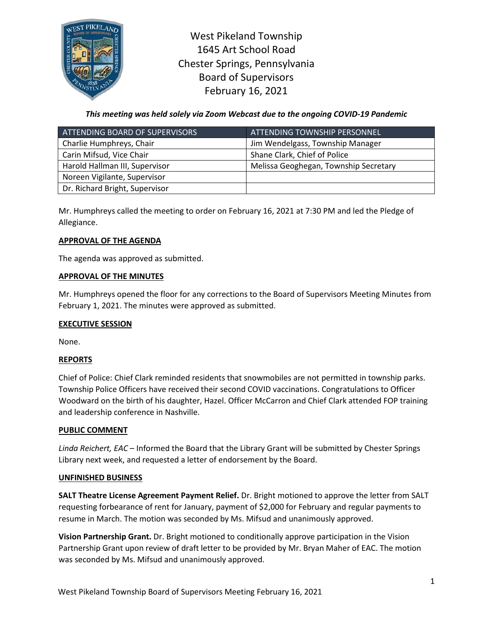

West Pikeland Township 1645 Art School Road Chester Springs, Pennsylvania Board of Supervisors February 16, 2021

# *This meeting was held solely via Zoom Webcast due to the ongoing COVID-19 Pandemic*

| ATTENDING BOARD OF SUPERVISORS | ATTENDING TOWNSHIP PERSONNEL          |
|--------------------------------|---------------------------------------|
| Charlie Humphreys, Chair       | Jim Wendelgass, Township Manager      |
| Carin Mifsud, Vice Chair       | Shane Clark, Chief of Police          |
| Harold Hallman III, Supervisor | Melissa Geoghegan, Township Secretary |
| Noreen Vigilante, Supervisor   |                                       |
| Dr. Richard Bright, Supervisor |                                       |

Mr. Humphreys called the meeting to order on February 16, 2021 at 7:30 PM and led the Pledge of Allegiance.

## **APPROVAL OF THE AGENDA**

The agenda was approved as submitted.

### **APPROVAL OF THE MINUTES**

Mr. Humphreys opened the floor for any corrections to the Board of Supervisors Meeting Minutes from February 1, 2021. The minutes were approved as submitted.

## **EXECUTIVE SESSION**

None.

## **REPORTS**

Chief of Police: Chief Clark reminded residents that snowmobiles are not permitted in township parks. Township Police Officers have received their second COVID vaccinations. Congratulations to Officer Woodward on the birth of his daughter, Hazel. Officer McCarron and Chief Clark attended FOP training and leadership conference in Nashville.

#### **PUBLIC COMMENT**

*Linda Reichert, EAC* – Informed the Board that the Library Grant will be submitted by Chester Springs Library next week, and requested a letter of endorsement by the Board.

#### **UNFINISHED BUSINESS**

**SALT Theatre License Agreement Payment Relief.** Dr. Bright motioned to approve the letter from SALT requesting forbearance of rent for January, payment of \$2,000 for February and regular payments to resume in March. The motion was seconded by Ms. Mifsud and unanimously approved.

**Vision Partnership Grant.** Dr. Bright motioned to conditionally approve participation in the Vision Partnership Grant upon review of draft letter to be provided by Mr. Bryan Maher of EAC. The motion was seconded by Ms. Mifsud and unanimously approved.